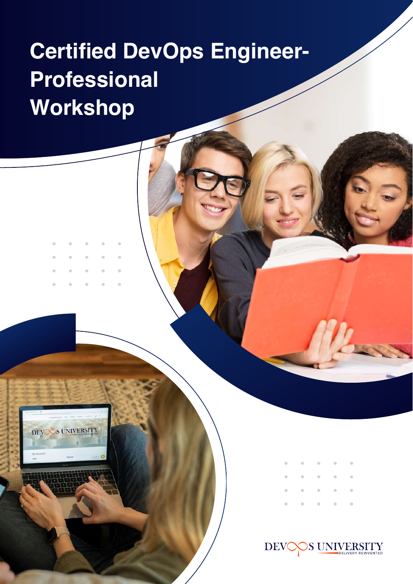# **Certified DevOps Engineer-Professional Workshop**



| . |  |  |
|---|--|--|
|   |  |  |
| . |  |  |
| . |  |  |

 $\mu$ 

**SUNIVERSITY DEV**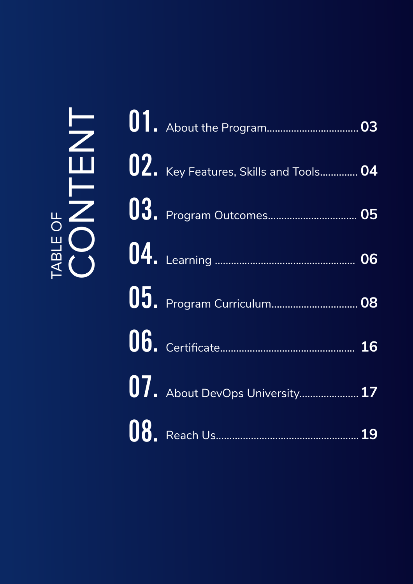# TABLE OF TABLE OF **ENT**

| 02. Key Features, Skills and Tools 04 |                                |
|---------------------------------------|--------------------------------|
|                                       |                                |
|                                       |                                |
|                                       |                                |
|                                       |                                |
|                                       |                                |
|                                       |                                |
|                                       | 07. About DevOps University 17 |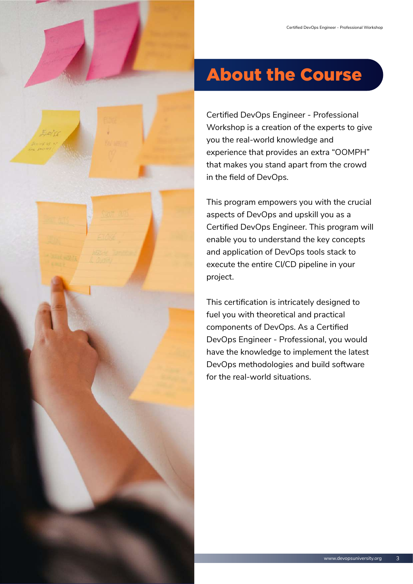

# About the Course

Certified DevOps Engineer - Professional Workshop is a creation of the experts to give you the real-world knowledge and experience that provides an extra "OOMPH" that makes you stand apart from the crowd in the field of DevOps.

This program empowers you with the crucial aspects of DevOps and upskill you as a Certified DevOps Engineer. This program will enable you to understand the key concepts and application of DevOps tools stack to execute the entire CI/CD pipeline in your project.

This certification is intricately designed to fuel you with theoretical and practical components of DevOps. As a Certified DevOps Engineer - Professional, you would have the knowledge to implement the latest DevOps methodologies and build software for the real-world situations.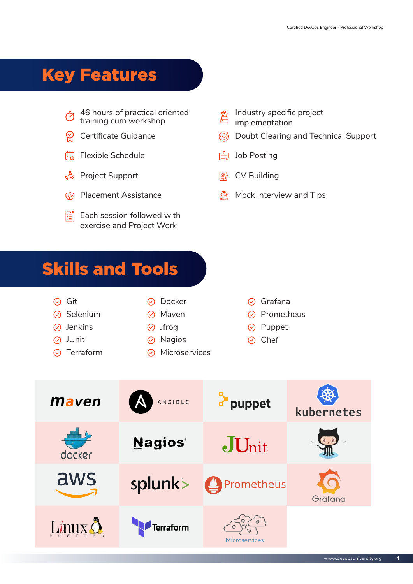# Key Features

- 46 hours of practical oriented  $\varnothing$ training cum workshop
- Certificate Guidance ്
- **ma** Flexible Schedule
- **Project Support**
- **A Placement Assistance**
- Each session followed with 灆 exercise and Project Work
- Industry specific project implementation
- Doubt Clearing and Technical Support
- ed Job Posting
- CV Building  $\mathbb{P}$
- **圖 Mock Interview and Tips**

# Skills and Tools

| (✓) Git          |  |
|------------------|--|
| $\odot$ Selenium |  |

- 
- 
- 
- 

#### $\odot$  Docker

- $\odot$  Maven
- $\odot$  Jenkins  $\odot$  Jfrog
	- Nagios JUnit Chef
- $\odot$  Terraform  $\odot$  Microservices
- $\odot$  Grafana
- $\odot$  Prometheus
- $\odot$  Puppet
- 

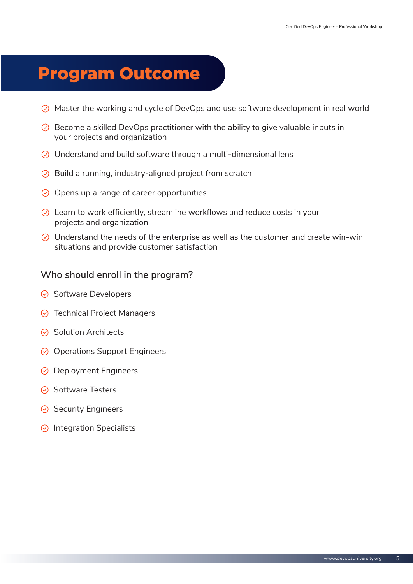# Program Outcome

- $\odot$  Master the working and cycle of DevOps and use software development in real world
- $\odot$  Become a skilled DevOps practitioner with the ability to give valuable inputs in your projects and organization
- $\odot$  Understand and build software through a multi-dimensional lens
- $\odot$  Build a running, industry-aligned project from scratch
- $\odot$  Opens up a range of career opportunities
- $\odot$  Learn to work efficiently, streamline workflows and reduce costs in your projects and organization
- $\odot$  Understand the needs of the enterprise as well as the customer and create win-win situations and provide customer satisfaction

#### **Who should enroll in the program?**

- $\odot$  Software Developers
- **⊙** Technical Project Managers
- $\odot$  Solution Architects
- $\odot$  Operations Support Engineers
- **⊙** Deployment Engineers
- $\odot$  Software Testers
- $\odot$  Security Engineers
- $\odot$  Integration Specialists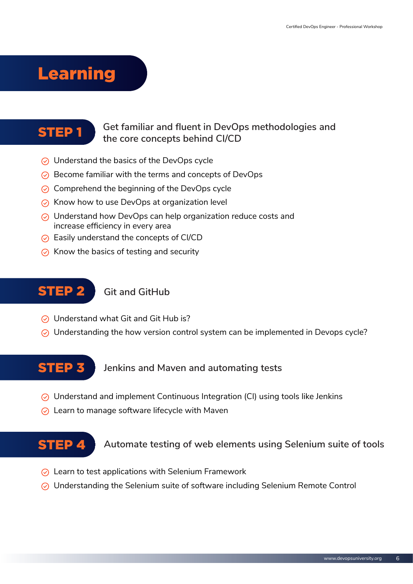# Learning

#### STEP 1 **Get familiar and fluent in DevOps methodologies and the core concepts behind CI/CD**

- $\odot$  Understand the basics of the DevOps cycle
- $\odot$  Become familiar with the terms and concepts of DevOps
- $\odot$  Comprehend the beginning of the DevOps cycle
- $\odot$  Know how to use DevOps at organization level
- $\odot$  Understand how DevOps can help organization reduce costs and increase efficiency in every area
- $\odot$  Easily understand the concepts of CI/CD
- $\odot$  Know the basics of testing and security

#### **STEP 2** Git and GitHub

- **⊙** Understand what Git and Git Hub is?
- $\odot$  Understanding the how version control system can be implemented in Devops cycle?

#### STEP 3 **Jenkins and Maven and automating tests**

- $\odot$  Understand and implement Continuous Integration (CI) using tools like Jenkins
- $\odot$  Learn to manage software lifecycle with Maven

#### **STEP 4** Automate testing of web elements using Selenium suite of tools

- $\odot$  Learn to test applications with Selenium Framework
- $\odot$  Understanding the Selenium suite of software including Selenium Remote Control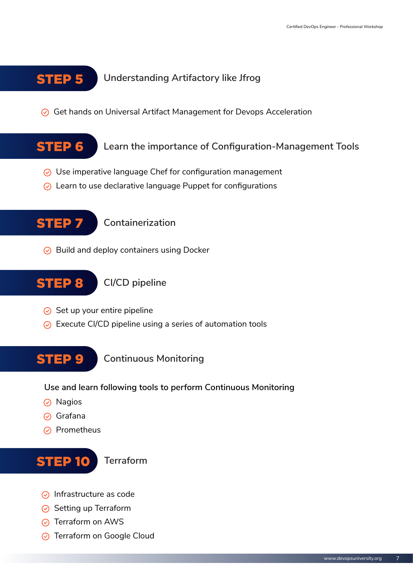## STEP 5 **Understanding Artifactory like Jfrog**

 $\odot$  Get hands on Universal Artifact Management for Devops Acceleration

STEP 6 **Learn the importance of Configuration-Management Tools**

- $\odot$  Use imperative language Chef for configuration management
- $\odot$  Learn to use declarative language Puppet for configurations

STEP 7 **Containerization**

 $\odot$  Build and deploy containers using Docker

STEP 8 **CI/CD pipeline** 

- $\odot$  Set up your entire pipeline
- $\odot$  Execute CI/CD pipeline using a series of automation tools

STEP 9 **Continuous Monitoring**

**Use and learn following tools to perform Continuous Monitoring**

- $\odot$  Nagios
- $\odot$  Grafana
- $\odot$  Prometheus



- $\odot$  Infrastructure as code
- $\odot$  Setting up Terraform
- **⊘** Terraform on AWS
- **⊙** Terraform on Google Cloud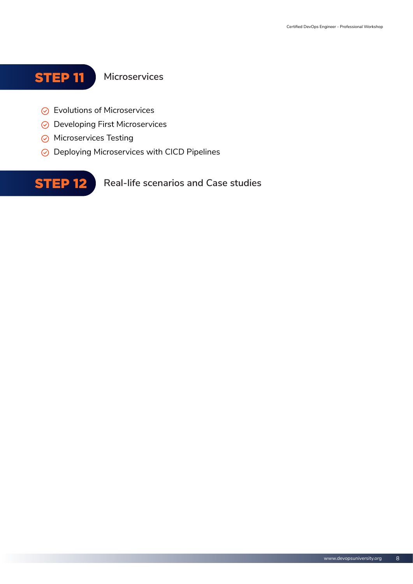## STEP 11 **Microservices**

- **⊙** Evolutions of Microservices
- **⊙** Developing First Microservices
- $\odot$  Microservices Testing
- **⊘** Deploying Microservices with CICD Pipelines

**STEP 12** Real-life scenarios and Case studies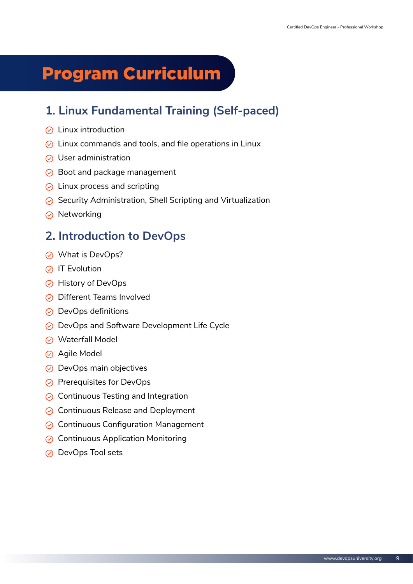# Program Curriculum

## **1. Linux Fundamental Training (Self-paced)**

- $\odot$  Linux introduction
- $\odot$  Linux commands and tools, and file operations in Linux
- $\odot$  User administration
- $\odot$  Boot and package management
- $\odot$  Linux process and scripting
- $\odot$  Security Administration, Shell Scripting and Virtualization
- $\odot$  Networking

## **2. Introduction to DevOps**

- **⊘** What is DevOps?
- $\odot$  IT Evolution
- **⊘** History of DevOps
- **⊙** Different Teams Involved
- $\odot$  DevOps definitions
- $\odot$  DevOps and Software Development Life Cycle
- **⊘** Waterfall Model
- **⊘** Agile Model
- $\odot$  DevOps main objectives
- $\odot$  Prerequisites for DevOps
- $\odot$  Continuous Testing and Integration
- $\odot$  Continuous Release and Deployment
- $\odot$  Continuous Configuration Management
- $\odot$  Continuous Application Monitoring
- ⊙ DevOps Tool sets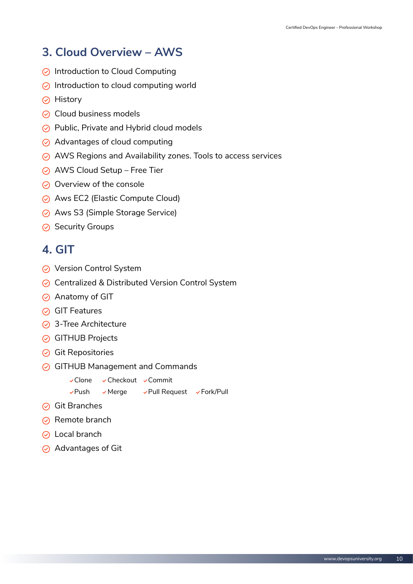## **3. Cloud Overview – AWS**

- $\odot$  Introduction to Cloud Computing
- $\odot$  Introduction to cloud computing world
- $\odot$  History
- $\odot$  Cloud business models
- $\odot$  Public, Private and Hybrid cloud models
- $\odot$  Advantages of cloud computing
- $\odot$  AWS Regions and Availability zones. Tools to access services
- **⊘** AWS Cloud Setup Free Tier
- $\odot$  Overview of the console
- Aws EC2 (Elastic Compute Cloud)
- $\odot$  Aws S3 (Simple Storage Service)
- $\odot$  Security Groups

#### **4. GIT**

- **⊘** Version Control System
- **⊘** Centralized & Distributed Version Control System
- Anatomy of GIT
- $\odot$  GIT Features
- 3-Tree Architecture
- **⊙** GITHUB Projects
- $\odot$  Git Repositories
- $\odot$  GITHUB Management and Commands

```
vClone vCheckout vCommit
```
- vPush vMerge vPull Request vFork/Pull
- **⊘** Git Branches
- $\odot$  Remote branch
- **⊘** Local branch
- $\odot$  Advantages of Git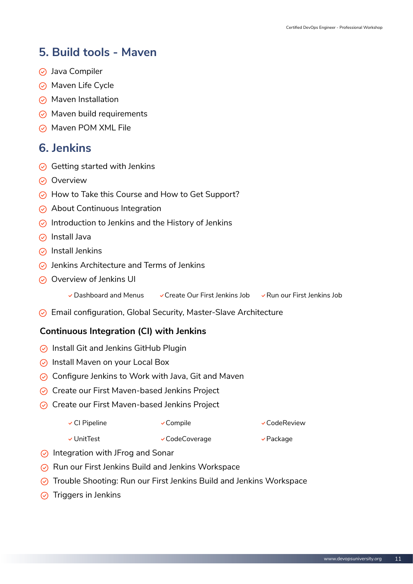## **5. Build tools - Maven**

- **⊘** Java Compiler
- $\odot$  Maven Life Cycle
- $\odot$  Maven Installation
- $\odot$  Maven build requirements
- $\odot$  Maven POM XML File

#### **6. Jenkins**

- $\odot$  Getting started with Jenkins
- $\odot$  Overview
- $\odot$  How to Take this Course and How to Get Support?
- $\odot$  About Continuous Integration
- $\odot$  Introduction to Jenkins and the History of Jenkins
- $\odot$  Install Java
- $\odot$  Install Jenkins
- $\odot$  Jenkins Architecture and Terms of Jenkins
- $\odot$  Overview of Jenkins UI
	- $\vee$  Dashboard and Menus  $\vee$  Create Our First Jenkins Job  $\vee$  Run our First Jenkins Job
- $\odot$  Email configuration, Global Security, Master-Slave Architecture

#### **Continuous Integration (CI) with Jenkins**

- $\odot$  Install Git and Jenkins GitHub Plugin
- $\odot$  Install Maven on your Local Box
- $\odot$  Configure Jenkins to Work with Java, Git and Maven
- $\odot$  Create our First Maven-based Jenkins Project
- $\odot$  Create our First Maven-based Jenkins Project

| $\checkmark$ Cl Pipeline | $\checkmark$ Compile | $\checkmark$ CodeReview |
|--------------------------|----------------------|-------------------------|
|--------------------------|----------------------|-------------------------|

- vUnitTest vCodeCoverage vBackage
- $\odot$  Integration with JFrog and Sonar
- $\odot$  Run our First Jenkins Build and Jenkins Workspace
- $\odot$  Trouble Shooting: Run our First Jenkins Build and Jenkins Workspace
- $\odot$  Triggers in Jenkins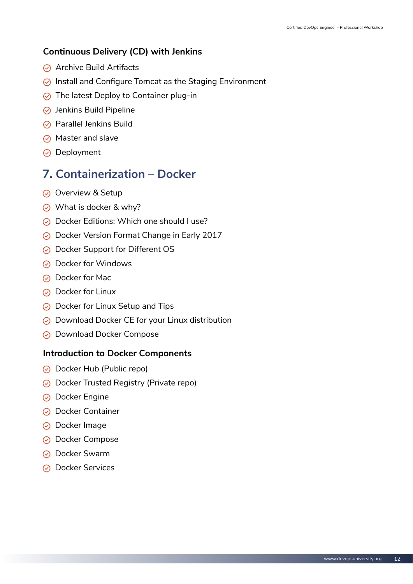#### **Continuous Delivery (CD) with Jenkins**

- $\odot$  Archive Build Artifacts
- $\odot$  Install and Configure Tomcat as the Staging Environment
- $\odot$  The latest Deploy to Container plug-in
- $\odot$  Jenkins Build Pipeline
- $\odot$  Parallel Jenkins Build
- $\odot$  Master and slave
- $\odot$  Deployment

## **7. Containerization – Docker**

- $\odot$  Overview & Setup
- $\odot$  What is docker & why?
- $\odot$  Docker Editions: Which one should I use?
- **⊘** Docker Version Format Change in Early 2017
- ◯ Docker Support for Different OS
- $\odot$  Docker for Windows
- ◯ Docker for Mac
- $\odot$  Docker for Linux
- $\odot$  Docker for Linux Setup and Tips
- ◯ Download Docker CE for your Linux distribution
- **⊘** Download Docker Compose

#### **Introduction to Docker Components**

- Docker Hub (Public repo)
- $\odot$  Docker Trusted Registry (Private repo)
- $\odot$  Docker Engine
- **⊘** Docker Container
- **⊘** Docker Image
- **⊘** Docker Compose
- **⊘** Docker Swarm
- **⊘** Docker Services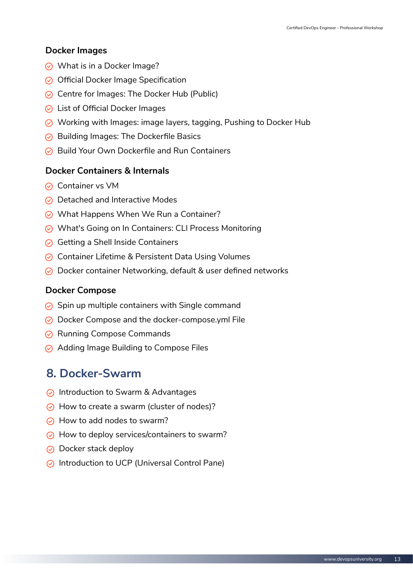#### **Docker Images**

- $\odot$  What is in a Docker Image?
- $\odot$  Official Docker Image Specification
- $\odot$  Centre for Images: The Docker Hub (Public)
- $\odot$  List of Official Docker Images
- ◯ Working with Images: image layers, tagging, Pushing to Docker Hub
- $\odot$  Building Images: The Dockerfile Basics
- $\odot$  Build Your Own Dockerfile and Run Containers

#### **Docker Containers & Internals**

- $\odot$  Container vs VM
- $\odot$  Detached and Interactive Modes
- $\odot$  What Happens When We Run a Container?
- ◯ What's Going on In Containers: CLI Process Monitoring
- $\odot$  Getting a Shell Inside Containers
- $\odot$  Container Lifetime & Persistent Data Using Volumes
- $\odot$  Docker container Networking, default & user defined networks

#### **Docker Compose**

- $\odot$  Spin up multiple containers with Single command
- ◯ Docker Compose and the docker-compose.yml File
- $\odot$  Running Compose Commands
- $\odot$  Adding Image Building to Compose Files

#### **8. Docker-Swarm**

- $\odot$  Introduction to Swarm & Advantages
- $\odot$  How to create a swarm (cluster of nodes)?
- $\odot$  How to add nodes to swarm?
- $\odot$  How to deploy services/containers to swarm?
- $\odot$  Docker stack deploy
- $\odot$  Introduction to UCP (Universal Control Pane)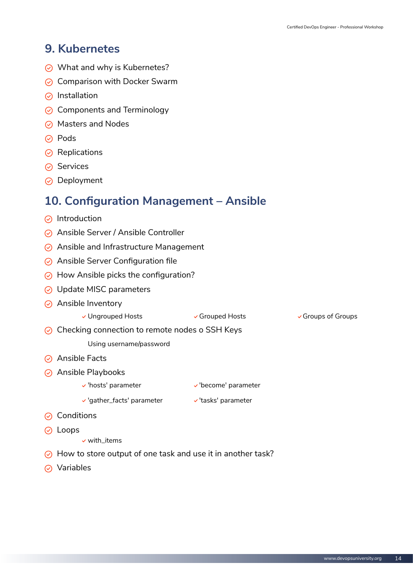#### **9. Kubernetes**

- $\odot$  What and why is Kubernetes?
- $\odot$  Comparison with Docker Swarm
- $\odot$  Installation
- $\odot$  Components and Terminology
- $\odot$  Masters and Nodes
- **⊘** Pods
- $\odot$  Replications
- $\odot$  Services
- **⊘** Deployment

#### **10. Configuration Management – Ansible**

- $\odot$  Introduction
- $\odot$  Ansible Server / Ansible Controller
- $\odot$  Ansible and Infrastructure Management
- $\odot$  Ansible Server Configuration file
- $\odot$  How Ansible picks the configuration?
- **⊙** Update MISC parameters
- $\odot$  Ansible Inventory
	- v Ungrouped Hosts Crouped Hosts Groups of Groups v Groups of Groups

 $\odot$  Checking connection to remote nodes o SSH Keys

Using username/password

- **⊘** Ansible Facts
- $\odot$  Ansible Playbooks
	- v'hosts' parameter v'become' parameter
	- $\vee$ 'gather\_facts' parameter  $\vee$ 'tasks' parameter
- $\odot$  Conditions
- **⊘** Loops
	- $\checkmark$  with\_items
- $\odot$  How to store output of one task and use it in another task?
- **⊘** Variables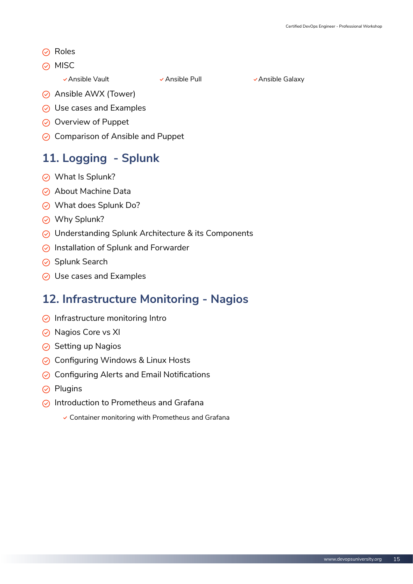- $\odot$  Roles
- $\oslash$  MISC

v Ansible Vault Ansible Pull Ansible Vault Ansible Galaxy

- **⊘** Ansible AWX (Tower)
- $\odot$  Use cases and Examples
- $\odot$  Overview of Puppet
- $\odot$  Comparison of Ansible and Puppet

## **11. Logging - Splunk**

- What Is Splunk?
- $\odot$  About Machine Data
- What does Splunk Do?
- **⊘** Why Splunk?
- ◯ Understanding Splunk Architecture & its Components
- $\odot$  Installation of Splunk and Forwarder
- **⊙** Splunk Search
- $\odot$  Use cases and Examples

#### **12. Infrastructure Monitoring - Nagios**

- $\odot$  Infrastructure monitoring Intro
- $\odot$  Nagios Core vs XI
- $\odot$  Setting up Nagios
- **⊘ Configuring Windows & Linux Hosts**
- $\odot$  Configuring Alerts and Email Notifications
- $\odot$  Plugins
- $\odot$  Introduction to Prometheus and Grafana
	- $\checkmark$  Container monitoring with Prometheus and Grafana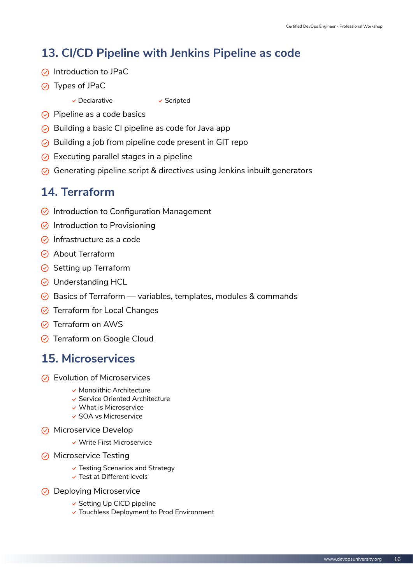## **13. CI/CD Pipeline with Jenkins Pipeline as code**

- $\odot$  Introduction to JPaC
- Types of JPaC
	- $\checkmark$  Declarative  $\checkmark$  Scripted

- $\odot$  Pipeline as a code basics
- $\odot$  Building a basic CI pipeline as code for Java app
- $\odot$  Building a job from pipeline code present in GIT repo
- $\odot$  Executing parallel stages in a pipeline
- $\odot$  Generating pipeline script & directives using Jenkins inbuilt generators

## **14. Terraform**

- $\odot$  Introduction to Configuration Management
- $\odot$  Introduction to Provisioning
- $\odot$  Infrastructure as a code
- **⊘** About Terraform
- $\odot$  Setting up Terraform
- **⊙** Understanding HCL
- $\odot$  Basics of Terraform variables, templates, modules & commands
- **⊙** Terraform for Local Changes
- **⊘** Terraform on AWS
- **⊙** Terraform on Google Cloud

## **15. Microservices**

- $\odot$  Evolution of Microservices
	- $\checkmark$  Monolithic Architecture
	- Service Oriented Architecture
	- What is Microservice
	- SOA vs Microservice
- $\odot$  Microservice Develop
	- Write First Microservice
- $\odot$  Microservice Testing
	- $\checkmark$  Testing Scenarios and Strategy
	- $\checkmark$  Test at Different levels
- **⊘** Deploying Microservice
	- $\checkmark$  Setting Up CICD pipeline
	- Touchless Deployment to Prod Environment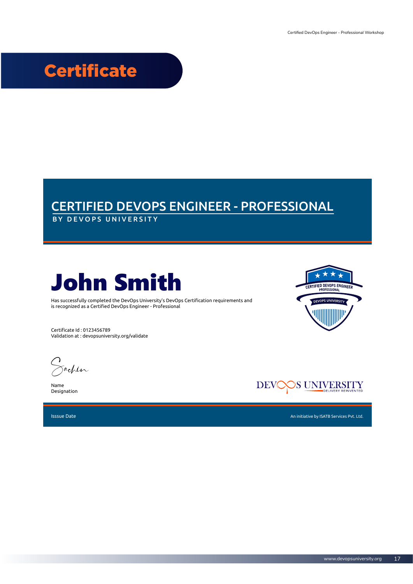# **Certificate**

## CERTIFIED DEVOPS ENGINEER - PROFESSIONAL

BY DEVOPS UNIVERSITY



Has successfully completed the DevOps University's DevOps Certification requirements and is recognized as a Certified DevOps Engineer - Professional

Certificate Id : 0123456789 Validation at : devopsuniversity.org/validate

Sachin

Name Designation



Isssue Date



CERTIFIED DEVOPS ENGINEER

 $\rightarrow$ 

UNIVERSITY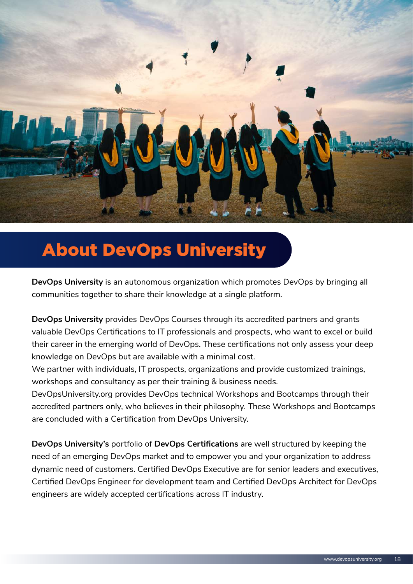

# About DevOps University

**DevOps University** is an autonomous organization which promotes DevOps by bringing all communities together to share their knowledge at a single platform.

**DevOps University** provides DevOps Courses through its accredited partners and grants valuable DevOps Certifications to IT professionals and prospects, who want to excel or build their career in the emerging world of DevOps. These certifications not only assess your deep knowledge on DevOps but are available with a minimal cost.

We partner with individuals, IT prospects, organizations and provide customized trainings, workshops and consultancy as per their training & business needs.

DevOpsUniversity.org provides DevOps technical Workshops and Bootcamps through their accredited partners only, who believes in their philosophy. These Workshops and Bootcamps are concluded with a Certification from DevOps University.

**DevOps University's** portfolio of **DevOps Certifications** are well structured by keeping the need of an emerging DevOps market and to empower you and your organization to address dynamic need of customers. Certified DevOps Executive are for senior leaders and executives, Certified DevOps Engineer for development team and Certified DevOps Architect for DevOps engineers are widely accepted certifications across IT industry.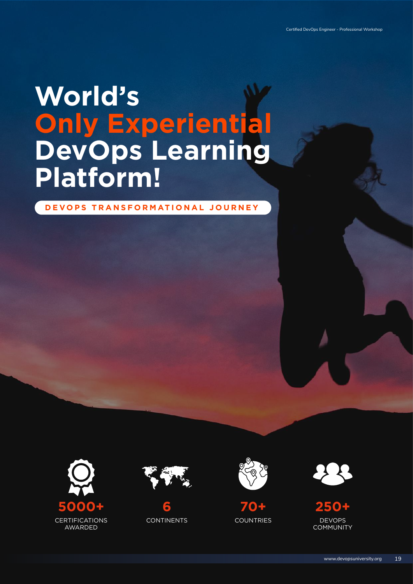# **World's Only Experiential DevOps Learning Platform!**

**DEVOPS TRANSFORMATIONAL JOURNEY**













DEVOPS **COMMUNITY 250+**